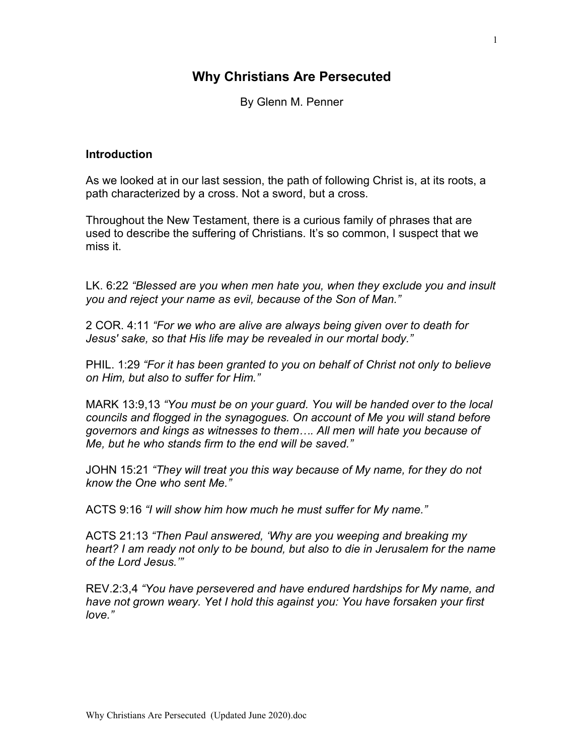# **Why Christians Are Persecuted**

By Glenn M. Penner

#### **Introduction**

As we looked at in our last session, the path of following Christ is, at its roots, a path characterized by a cross. Not a sword, but a cross.

Throughout the New Testament, there is a curious family of phrases that are used to describe the suffering of Christians. It's so common, I suspect that we miss it.

LK. 6:22 *"Blessed are you when men hate you, when they exclude you and insult you and reject your name as evil, because of the Son of Man."*

2 COR. 4:11 *"For we who are alive are always being given over to death for Jesus' sake, so that His life may be revealed in our mortal body."*

PHIL. 1:29 *"For it has been granted to you on behalf of Christ not only to believe on Him, but also to suffer for Him."*

MARK 13:9,13 *"You must be on your guard. You will be handed over to the local councils and flogged in the synagogues. On account of Me you will stand before governors and kings as witnesses to them…. All men will hate you because of Me, but he who stands firm to the end will be saved."*

JOHN 15:21 *"They will treat you this way because of My name, for they do not know the One who sent Me."*

ACTS 9:16 *"I will show him how much he must suffer for My name."*

ACTS 21:13 *"Then Paul answered, 'Why are you weeping and breaking my heart? I am ready not only to be bound, but also to die in Jerusalem for the name of the Lord Jesus.'"*

REV.2:3,4 *"You have persevered and have endured hardships for My name, and have not grown weary. Yet I hold this against you: You have forsaken your first love."*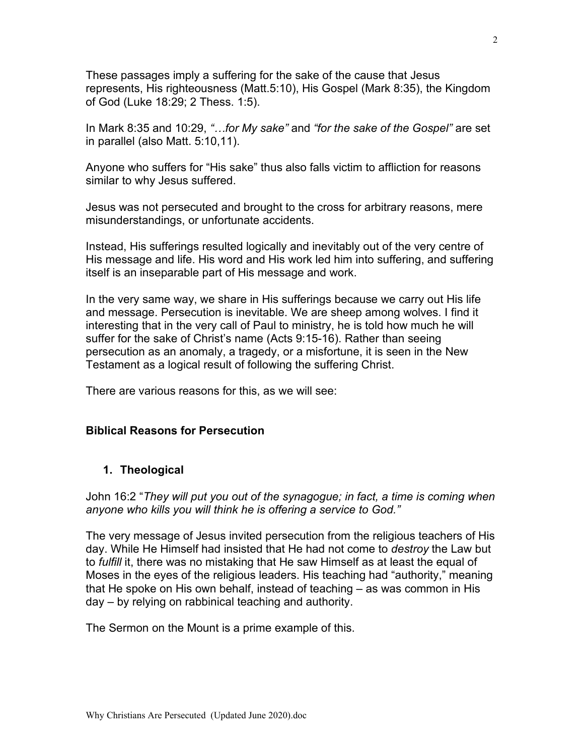These passages imply a suffering for the sake of the cause that Jesus represents, His righteousness (Matt.5:10), His Gospel (Mark 8:35), the Kingdom of God (Luke 18:29; 2 Thess. 1:5).

In Mark 8:35 and 10:29, *"…for My sake"* and *"for the sake of the Gospel"* are set in parallel (also Matt. 5:10,11).

Anyone who suffers for "His sake" thus also falls victim to affliction for reasons similar to why Jesus suffered.

Jesus was not persecuted and brought to the cross for arbitrary reasons, mere misunderstandings, or unfortunate accidents.

Instead, His sufferings resulted logically and inevitably out of the very centre of His message and life. His word and His work led him into suffering, and suffering itself is an inseparable part of His message and work.

In the very same way, we share in His sufferings because we carry out His life and message. Persecution is inevitable. We are sheep among wolves. I find it interesting that in the very call of Paul to ministry, he is told how much he will suffer for the sake of Christ's name (Acts 9:15-16). Rather than seeing persecution as an anomaly, a tragedy, or a misfortune, it is seen in the New Testament as a logical result of following the suffering Christ.

There are various reasons for this, as we will see:

### **Biblical Reasons for Persecution**

### **1. Theological**

John 16:2 "*They will put you out of the synagogue; in fact, a time is coming when anyone who kills you will think he is offering a service to God."*

The very message of Jesus invited persecution from the religious teachers of His day. While He Himself had insisted that He had not come to *destroy* the Law but to *fulfill* it, there was no mistaking that He saw Himself as at least the equal of Moses in the eyes of the religious leaders. His teaching had "authority," meaning that He spoke on His own behalf, instead of teaching – as was common in His day – by relying on rabbinical teaching and authority.

The Sermon on the Mount is a prime example of this.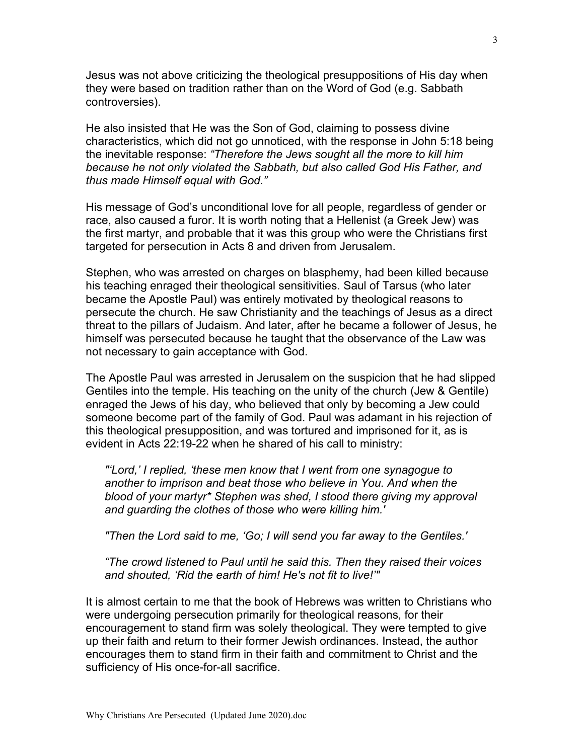Jesus was not above criticizing the theological presuppositions of His day when they were based on tradition rather than on the Word of God (e.g. Sabbath controversies).

He also insisted that He was the Son of God, claiming to possess divine characteristics, which did not go unnoticed, with the response in John 5:18 being the inevitable response: *"Therefore the Jews sought all the more to kill him because he not only violated the Sabbath, but also called God His Father, and thus made Himself equal with God."*

His message of God's unconditional love for all people, regardless of gender or race, also caused a furor. It is worth noting that a Hellenist (a Greek Jew) was the first martyr, and probable that it was this group who were the Christians first targeted for persecution in Acts 8 and driven from Jerusalem.

Stephen, who was arrested on charges on blasphemy, had been killed because his teaching enraged their theological sensitivities. Saul of Tarsus (who later became the Apostle Paul) was entirely motivated by theological reasons to persecute the church. He saw Christianity and the teachings of Jesus as a direct threat to the pillars of Judaism. And later, after he became a follower of Jesus, he himself was persecuted because he taught that the observance of the Law was not necessary to gain acceptance with God.

The Apostle Paul was arrested in Jerusalem on the suspicion that he had slipped Gentiles into the temple. His teaching on the unity of the church (Jew & Gentile) enraged the Jews of his day, who believed that only by becoming a Jew could someone become part of the family of God. Paul was adamant in his rejection of this theological presupposition, and was tortured and imprisoned for it, as is evident in Acts 22:19-22 when he shared of his call to ministry:

*"'Lord,' I replied, 'these men know that I went from one synagogue to another to imprison and beat those who believe in You. And when the blood of your martyr\* Stephen was shed, I stood there giving my approval and guarding the clothes of those who were killing him.'*

*"Then the Lord said to me, 'Go; I will send you far away to the Gentiles.'*

*"The crowd listened to Paul until he said this. Then they raised their voices and shouted, 'Rid the earth of him! He's not fit to live!'"*

It is almost certain to me that the book of Hebrews was written to Christians who were undergoing persecution primarily for theological reasons, for their encouragement to stand firm was solely theological. They were tempted to give up their faith and return to their former Jewish ordinances. Instead, the author encourages them to stand firm in their faith and commitment to Christ and the sufficiency of His once-for-all sacrifice.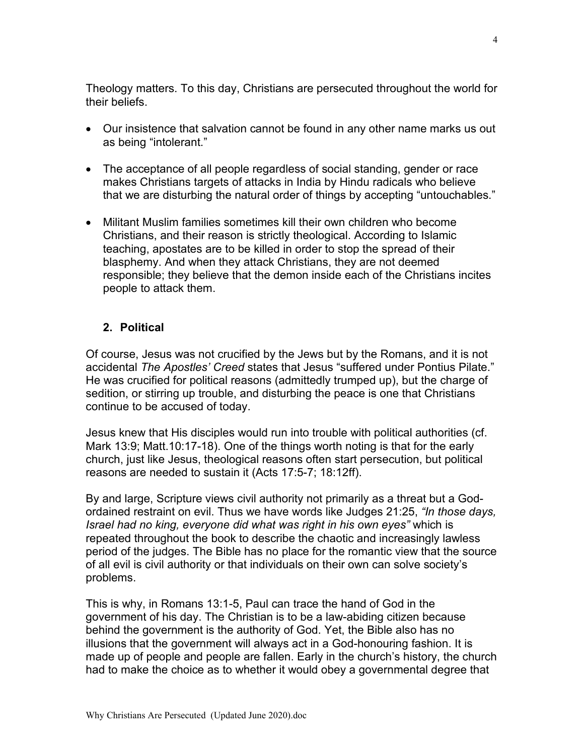Theology matters. To this day, Christians are persecuted throughout the world for their beliefs.

- Our insistence that salvation cannot be found in any other name marks us out as being "intolerant."
- The acceptance of all people regardless of social standing, gender or race makes Christians targets of attacks in India by Hindu radicals who believe that we are disturbing the natural order of things by accepting "untouchables."
- Militant Muslim families sometimes kill their own children who become Christians, and their reason is strictly theological. According to Islamic teaching, apostates are to be killed in order to stop the spread of their blasphemy. And when they attack Christians, they are not deemed responsible; they believe that the demon inside each of the Christians incites people to attack them.

## **2. Political**

Of course, Jesus was not crucified by the Jews but by the Romans, and it is not accidental *The Apostles' Creed* states that Jesus "suffered under Pontius Pilate." He was crucified for political reasons (admittedly trumped up), but the charge of sedition, or stirring up trouble, and disturbing the peace is one that Christians continue to be accused of today.

Jesus knew that His disciples would run into trouble with political authorities (cf. Mark 13:9; Matt.10:17-18). One of the things worth noting is that for the early church, just like Jesus, theological reasons often start persecution, but political reasons are needed to sustain it (Acts 17:5-7; 18:12ff).

By and large, Scripture views civil authority not primarily as a threat but a Godordained restraint on evil. Thus we have words like Judges 21:25, *"In those days, Israel had no king, everyone did what was right in his own eyes"* which is repeated throughout the book to describe the chaotic and increasingly lawless period of the judges. The Bible has no place for the romantic view that the source of all evil is civil authority or that individuals on their own can solve society's problems.

This is why, in Romans 13:1-5, Paul can trace the hand of God in the government of his day. The Christian is to be a law-abiding citizen because behind the government is the authority of God. Yet, the Bible also has no illusions that the government will always act in a God-honouring fashion. It is made up of people and people are fallen. Early in the church's history, the church had to make the choice as to whether it would obey a governmental degree that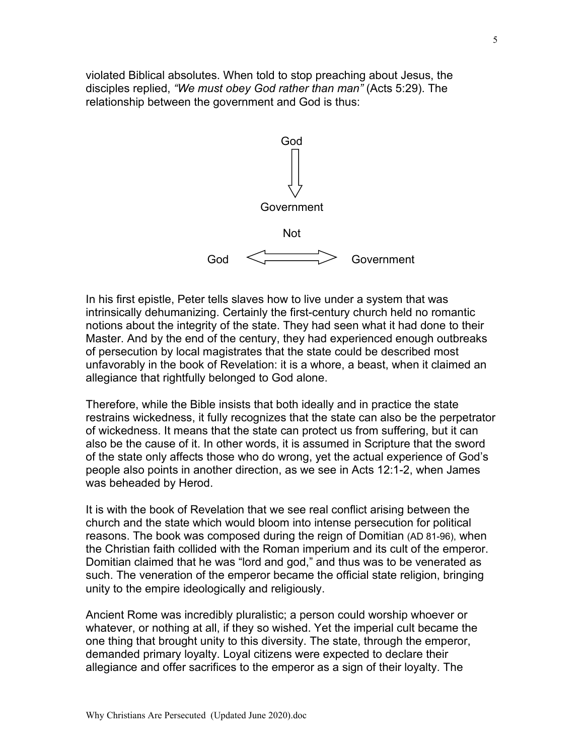violated Biblical absolutes. When told to stop preaching about Jesus, the disciples replied, *"We must obey God rather than man"* (Acts 5:29). The relationship between the government and God is thus:



In his first epistle, Peter tells slaves how to live under a system that was intrinsically dehumanizing. Certainly the first-century church held no romantic notions about the integrity of the state. They had seen what it had done to their Master. And by the end of the century, they had experienced enough outbreaks of persecution by local magistrates that the state could be described most unfavorably in the book of Revelation: it is a whore, a beast, when it claimed an allegiance that rightfully belonged to God alone.

Therefore, while the Bible insists that both ideally and in practice the state restrains wickedness, it fully recognizes that the state can also be the perpetrator of wickedness. It means that the state can protect us from suffering, but it can also be the cause of it. In other words, it is assumed in Scripture that the sword of the state only affects those who do wrong, yet the actual experience of God's people also points in another direction, as we see in Acts 12:1-2, when James was beheaded by Herod.

It is with the book of Revelation that we see real conflict arising between the church and the state which would bloom into intense persecution for political reasons. The book was composed during the reign of Domitian (AD 81-96), when the Christian faith collided with the Roman imperium and its cult of the emperor. Domitian claimed that he was "lord and god," and thus was to be venerated as such. The veneration of the emperor became the official state religion, bringing unity to the empire ideologically and religiously.

Ancient Rome was incredibly pluralistic; a person could worship whoever or whatever, or nothing at all, if they so wished. Yet the imperial cult became the one thing that brought unity to this diversity. The state, through the emperor, demanded primary loyalty. Loyal citizens were expected to declare their allegiance and offer sacrifices to the emperor as a sign of their loyalty. The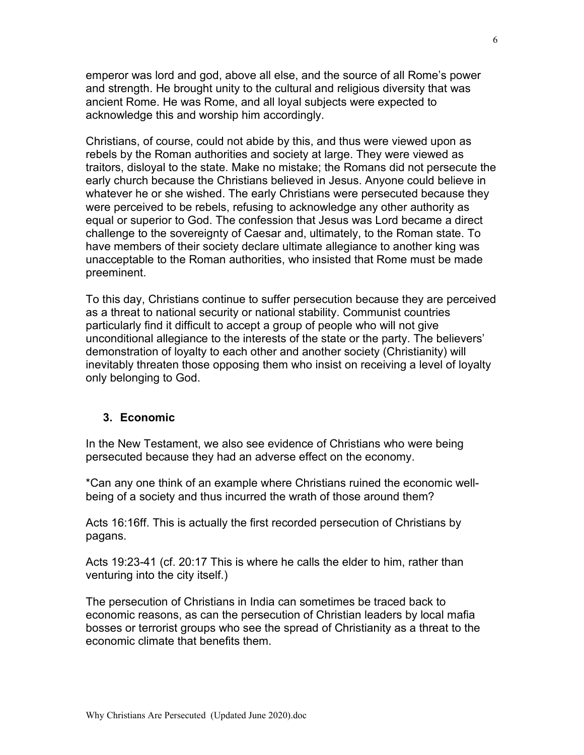emperor was lord and god, above all else, and the source of all Rome's power and strength. He brought unity to the cultural and religious diversity that was ancient Rome. He was Rome, and all loyal subjects were expected to acknowledge this and worship him accordingly.

Christians, of course, could not abide by this, and thus were viewed upon as rebels by the Roman authorities and society at large. They were viewed as traitors, disloyal to the state. Make no mistake; the Romans did not persecute the early church because the Christians believed in Jesus. Anyone could believe in whatever he or she wished. The early Christians were persecuted because they were perceived to be rebels, refusing to acknowledge any other authority as equal or superior to God. The confession that Jesus was Lord became a direct challenge to the sovereignty of Caesar and, ultimately, to the Roman state. To have members of their society declare ultimate allegiance to another king was unacceptable to the Roman authorities, who insisted that Rome must be made preeminent.

To this day, Christians continue to suffer persecution because they are perceived as a threat to national security or national stability. Communist countries particularly find it difficult to accept a group of people who will not give unconditional allegiance to the interests of the state or the party. The believers' demonstration of loyalty to each other and another society (Christianity) will inevitably threaten those opposing them who insist on receiving a level of loyalty only belonging to God.

#### **3. Economic**

In the New Testament, we also see evidence of Christians who were being persecuted because they had an adverse effect on the economy.

\*Can any one think of an example where Christians ruined the economic wellbeing of a society and thus incurred the wrath of those around them?

Acts 16:16ff. This is actually the first recorded persecution of Christians by pagans.

Acts 19:23-41 (cf. 20:17 This is where he calls the elder to him, rather than venturing into the city itself.)

The persecution of Christians in India can sometimes be traced back to economic reasons, as can the persecution of Christian leaders by local mafia bosses or terrorist groups who see the spread of Christianity as a threat to the economic climate that benefits them.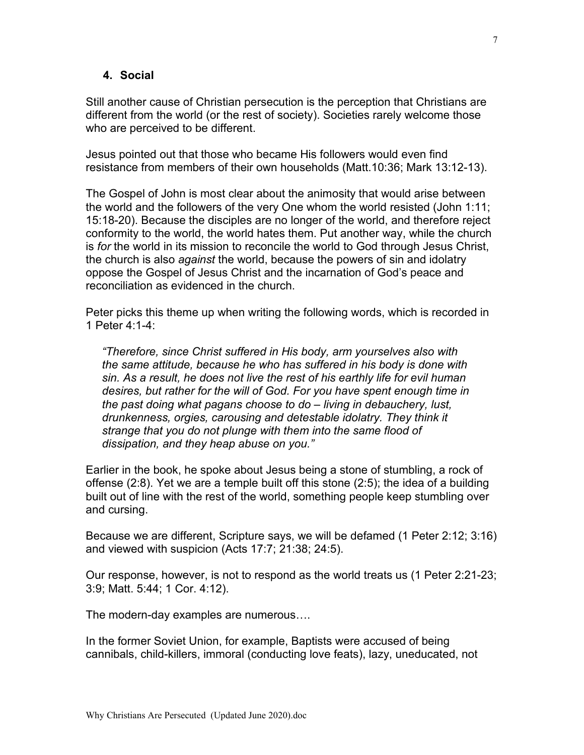#### **4. Social**

Still another cause of Christian persecution is the perception that Christians are different from the world (or the rest of society). Societies rarely welcome those who are perceived to be different.

Jesus pointed out that those who became His followers would even find resistance from members of their own households (Matt.10:36; Mark 13:12-13).

The Gospel of John is most clear about the animosity that would arise between the world and the followers of the very One whom the world resisted (John 1:11; 15:18-20). Because the disciples are no longer of the world, and therefore reject conformity to the world, the world hates them. Put another way, while the church is *for* the world in its mission to reconcile the world to God through Jesus Christ, the church is also *against* the world, because the powers of sin and idolatry oppose the Gospel of Jesus Christ and the incarnation of God's peace and reconciliation as evidenced in the church.

Peter picks this theme up when writing the following words, which is recorded in 1 Peter 4:1-4:

*"Therefore, since Christ suffered in His body, arm yourselves also with the same attitude, because he who has suffered in his body is done with sin. As a result, he does not live the rest of his earthly life for evil human desires, but rather for the will of God. For you have spent enough time in the past doing what pagans choose to do – living in debauchery, lust, drunkenness, orgies, carousing and detestable idolatry. They think it strange that you do not plunge with them into the same flood of dissipation, and they heap abuse on you."*

Earlier in the book, he spoke about Jesus being a stone of stumbling, a rock of offense (2:8). Yet we are a temple built off this stone (2:5); the idea of a building built out of line with the rest of the world, something people keep stumbling over and cursing.

Because we are different, Scripture says, we will be defamed (1 Peter 2:12; 3:16) and viewed with suspicion (Acts 17:7; 21:38; 24:5).

Our response, however, is not to respond as the world treats us (1 Peter 2:21-23; 3:9; Matt. 5:44; 1 Cor. 4:12).

The modern-day examples are numerous….

In the former Soviet Union, for example, Baptists were accused of being cannibals, child-killers, immoral (conducting love feats), lazy, uneducated, not